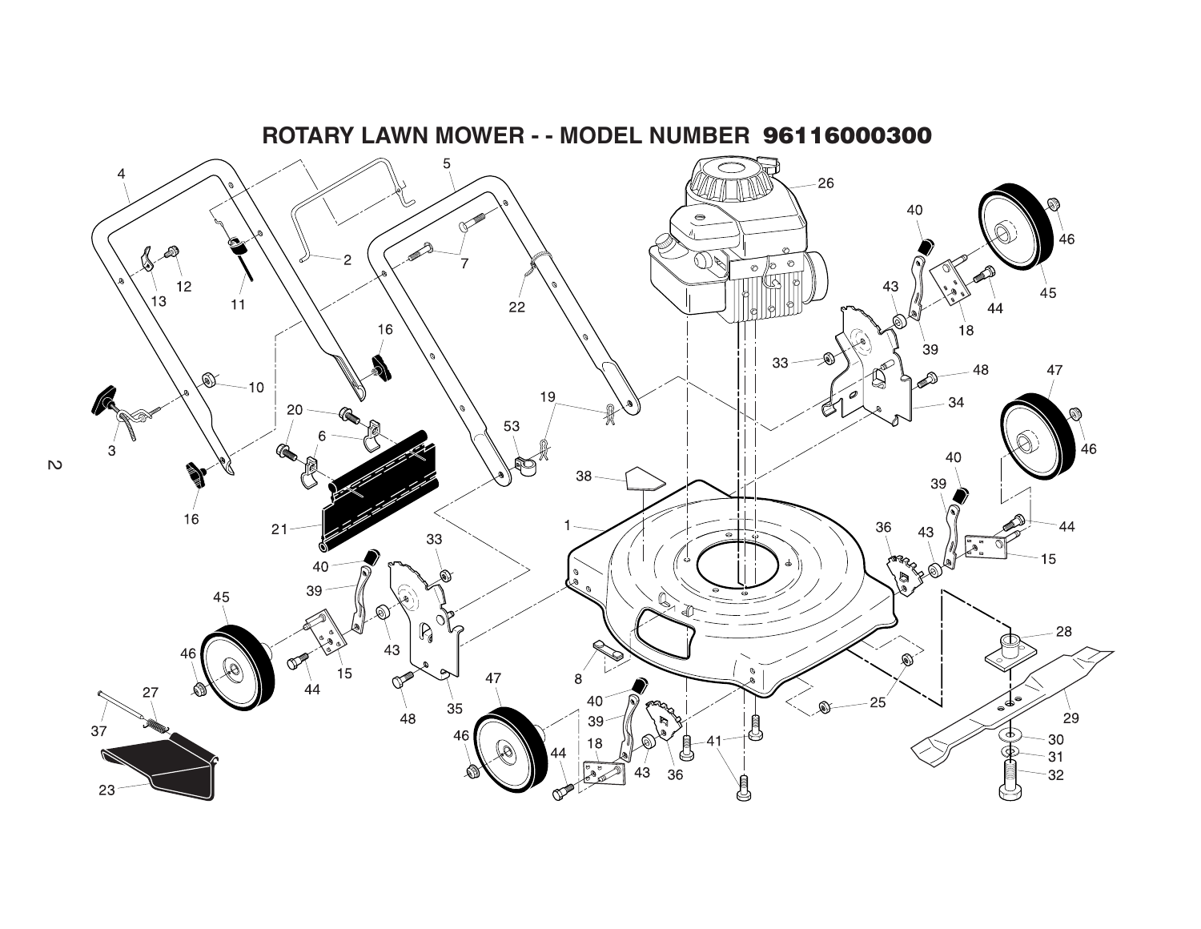

**ROTARY LAWN MOWER - - MODEL NUMBER 96116000300**

 $\mathbb{R}^2$